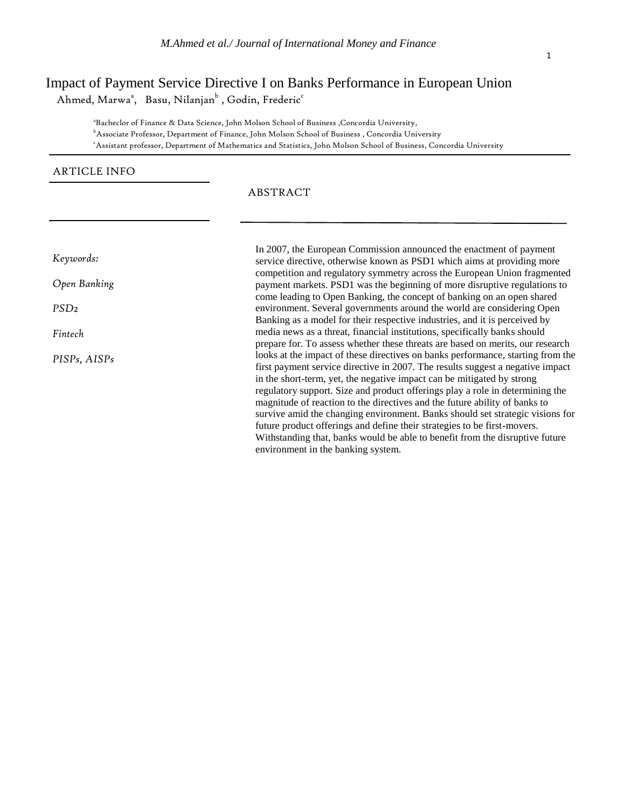# Impact of Payment Service Directive I on Banks Performance in European Union

Ahmed, Marwa $^{\rm a}$ , Basu, Nilanjan $^{\rm b}$  , Godin, Frederic $^{\rm c}$ 

<sup>a</sup>Bacheclor of Finance & Data Science, John Molson School of Business , Concordia University, <sup>b</sup>Associate Professor, Department of Finance, John Molson School of Business , Concordia University <sup>c</sup>Assistant professor, Department of Mathematics and Statistics, John Molson School of Business, Concordia University

# ARTICLE INFO

# ABSTRACT

*Keywords:*

*Open Banking* 

*PSD2*

*Fintech* 

*PISPs, AISPs*

In 2007, the European Commission announced the enactment of payment service directive, otherwise known as PSD1 which aims at providing more competition and regulatory symmetry across the European Union fragmented payment markets. PSD1 was the beginning of more disruptive regulations to come leading to Open Banking, the concept of banking on an open shared environment. Several governments around the world are considering Open Banking as a model for their respective industries, and it is perceived by media news as a threat, financial institutions, specifically banks should prepare for. To assess whether these threats are based on merits, our research looks at the impact of these directives on banks performance, starting from the first payment service directive in 2007. The results suggest a negative impact in the short-term, yet, the negative impact can be mitigated by strong regulatory support. Size and product offerings play a role in determining the magnitude of reaction to the directives and the future ability of banks to survive amid the changing environment. Banks should set strategic visions for future product offerings and define their strategies to be first-movers. Withstanding that, banks would be able to benefit from the disruptive future environment in the banking system.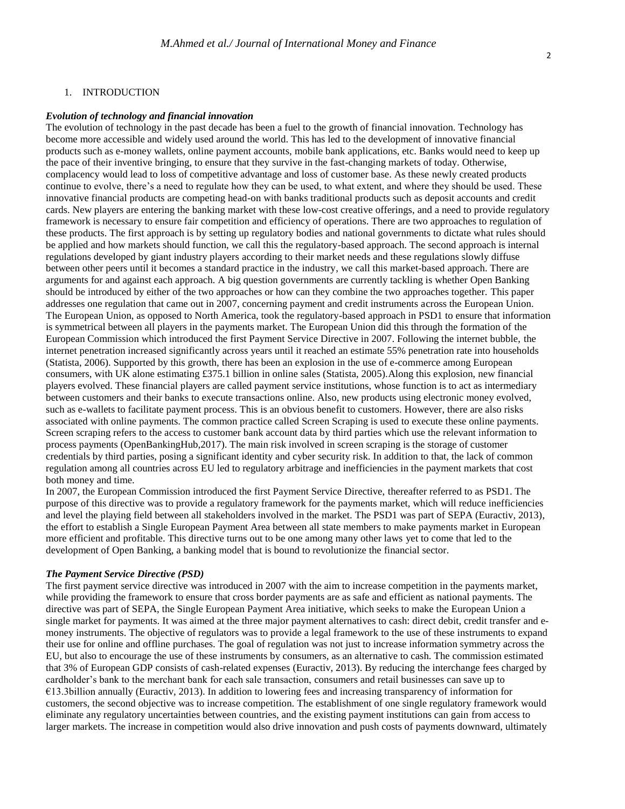#### 1. INTRODUCTION

#### *Evolution of technology and financial innovation*

The evolution of technology in the past decade has been a fuel to the growth of financial innovation. Technology has become more accessible and widely used around the world. This has led to the development of innovative financial products such as e-money wallets, online payment accounts, mobile bank applications, etc. Banks would need to keep up the pace of their inventive bringing, to ensure that they survive in the fast-changing markets of today. Otherwise, complacency would lead to loss of competitive advantage and loss of customer base. As these newly created products continue to evolve, there's a need to regulate how they can be used, to what extent, and where they should be used. These innovative financial products are competing head-on with banks traditional products such as deposit accounts and credit cards. New players are entering the banking market with these low-cost creative offerings, and a need to provide regulatory framework is necessary to ensure fair competition and efficiency of operations. There are two approaches to regulation of these products. The first approach is by setting up regulatory bodies and national governments to dictate what rules should be applied and how markets should function, we call this the regulatory-based approach. The second approach is internal regulations developed by giant industry players according to their market needs and these regulations slowly diffuse between other peers until it becomes a standard practice in the industry, we call this market-based approach. There are arguments for and against each approach. A big question governments are currently tackling is whether Open Banking should be introduced by either of the two approaches or how can they combine the two approaches together. This paper addresses one regulation that came out in 2007, concerning payment and credit instruments across the European Union. The European Union, as opposed to North America, took the regulatory-based approach in PSD1 to ensure that information is symmetrical between all players in the payments market. The European Union did this through the formation of the European Commission which introduced the first Payment Service Directive in 2007. Following the internet bubble, the internet penetration increased significantly across years until it reached an estimate 55% penetration rate into households (Statista, 2006). Supported by this growth, there has been an explosion in the use of e-commerce among European consumers, with UK alone estimating £375.1 billion in online sales (Statista, 2005).Along this explosion, new financial players evolved. These financial players are called payment service institutions, whose function is to act as intermediary between customers and their banks to execute transactions online. Also, new products using electronic money evolved, such as e-wallets to facilitate payment process. This is an obvious benefit to customers. However, there are also risks associated with online payments. The common practice called Screen Scraping is used to execute these online payments. Screen scraping refers to the access to customer bank account data by third parties which use the relevant information to process payments (OpenBankingHub,2017). The main risk involved in screen scraping is the storage of customer credentials by third parties, posing a significant identity and cyber security risk. In addition to that, the lack of common regulation among all countries across EU led to regulatory arbitrage and inefficiencies in the payment markets that cost both money and time.

In 2007, the European Commission introduced the first Payment Service Directive, thereafter referred to as PSD1. The purpose of this directive was to provide a regulatory framework for the payments market, which will reduce inefficiencies and level the playing field between all stakeholders involved in the market. The PSD1 was part of SEPA (Euractiv, 2013), the effort to establish a Single European Payment Area between all state members to make payments market in European more efficient and profitable. This directive turns out to be one among many other laws yet to come that led to the development of Open Banking, a banking model that is bound to revolutionize the financial sector.

### *The Payment Service Directive (PSD)*

The first payment service directive was introduced in 2007 with the aim to increase competition in the payments market, while providing the framework to ensure that cross border payments are as safe and efficient as national payments. The directive was part of SEPA, the Single European Payment Area initiative, which seeks to make the European Union a single market for payments. It was aimed at the three major payment alternatives to cash: direct debit, credit transfer and emoney instruments. The objective of regulators was to provide a legal framework to the use of these instruments to expand their use for online and offline purchases. The goal of regulation was not just to increase information symmetry across the EU, but also to encourage the use of these instruments by consumers, as an alternative to cash. The commission estimated that 3% of European GDP consists of cash-related expenses (Euractiv, 2013). By reducing the interchange fees charged by cardholder's bank to the merchant bank for each sale transaction, consumers and retail businesses can save up to €13.3billion annually (Euractiv, 2013). In addition to lowering fees and increasing transparency of information for customers, the second objective was to increase competition. The establishment of one single regulatory framework would eliminate any regulatory uncertainties between countries, and the existing payment institutions can gain from access to larger markets. The increase in competition would also drive innovation and push costs of payments downward, ultimately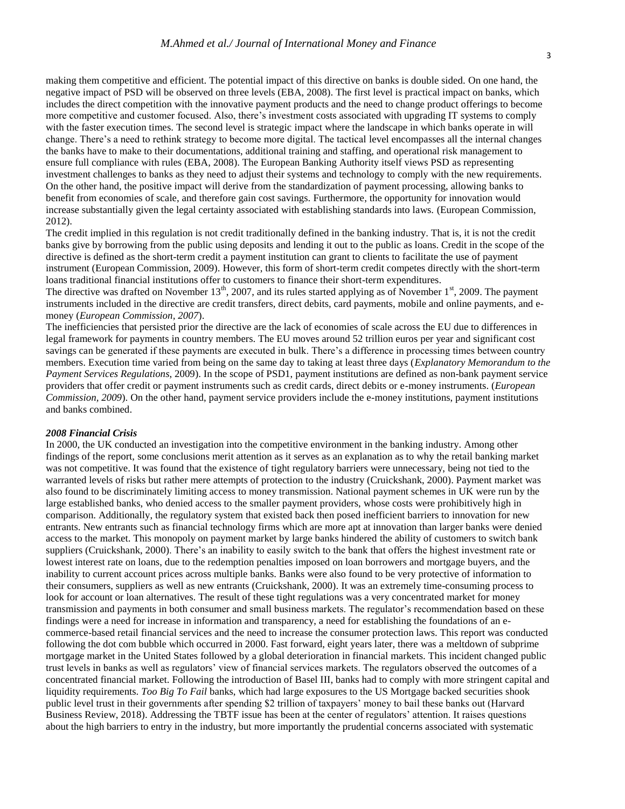making them competitive and efficient. The potential impact of this directive on banks is double sided. On one hand, the negative impact of PSD will be observed on three levels (EBA, 2008). The first level is practical impact on banks, which includes the direct competition with the innovative payment products and the need to change product offerings to become more competitive and customer focused. Also, there's investment costs associated with upgrading IT systems to comply with the faster execution times. The second level is strategic impact where the landscape in which banks operate in will change. There's a need to rethink strategy to become more digital. The tactical level encompasses all the internal changes the banks have to make to their documentations, additional training and staffing, and operational risk management to ensure full compliance with rules (EBA, 2008). The European Banking Authority itself views PSD as representing investment challenges to banks as they need to adjust their systems and technology to comply with the new requirements. On the other hand, the positive impact will derive from the standardization of payment processing, allowing banks to benefit from economies of scale, and therefore gain cost savings. Furthermore, the opportunity for innovation would increase substantially given the legal certainty associated with establishing standards into laws. (European Commission, 2012).

The credit implied in this regulation is not credit traditionally defined in the banking industry. That is, it is not the credit banks give by borrowing from the public using deposits and lending it out to the public as loans. Credit in the scope of the directive is defined as the short-term credit a payment institution can grant to clients to facilitate the use of payment instrument (European Commission, 2009). However, this form of short-term credit competes directly with the short-term loans traditional financial institutions offer to customers to finance their short-term expenditures.

The directive was drafted on November  $13<sup>th</sup>$ , 2007, and its rules started applying as of November  $1<sup>st</sup>$ , 2009. The payment instruments included in the directive are credit transfers, direct debits, card payments, mobile and online payments, and emoney (*European Commission, 2007*).

The inefficiencies that persisted prior the directive are the lack of economies of scale across the EU due to differences in legal framework for payments in country members. The EU moves around 52 trillion euros per year and significant cost savings can be generated if these payments are executed in bulk. There's a difference in processing times between country members. Execution time varied from being on the same day to taking at least three days (*Explanatory Memorandum to the Payment Services Regulations*, 2009). In the scope of PSD1, payment institutions are defined as non-bank payment service providers that offer credit or payment instruments such as credit cards, direct debits or e-money instruments. (*European Commission, 2009*). On the other hand, payment service providers include the e-money institutions, payment institutions and banks combined.

#### *2008 Financial Crisis*

In 2000, the UK conducted an investigation into the competitive environment in the banking industry. Among other findings of the report, some conclusions merit attention as it serves as an explanation as to why the retail banking market was not competitive. It was found that the existence of tight regulatory barriers were unnecessary, being not tied to the warranted levels of risks but rather mere attempts of protection to the industry (Cruickshank, 2000). Payment market was also found to be discriminately limiting access to money transmission. National payment schemes in UK were run by the large established banks, who denied access to the smaller payment providers, whose costs were prohibitively high in comparison. Additionally, the regulatory system that existed back then posed inefficient barriers to innovation for new entrants. New entrants such as financial technology firms which are more apt at innovation than larger banks were denied access to the market. This monopoly on payment market by large banks hindered the ability of customers to switch bank suppliers (Cruickshank, 2000). There's an inability to easily switch to the bank that offers the highest investment rate or lowest interest rate on loans, due to the redemption penalties imposed on loan borrowers and mortgage buyers, and the inability to current account prices across multiple banks. Banks were also found to be very protective of information to their consumers, suppliers as well as new entrants (Cruickshank, 2000). It was an extremely time-consuming process to look for account or loan alternatives. The result of these tight regulations was a very concentrated market for money transmission and payments in both consumer and small business markets. The regulator's recommendation based on these findings were a need for increase in information and transparency, a need for establishing the foundations of an ecommerce-based retail financial services and the need to increase the consumer protection laws. This report was conducted following the dot com bubble which occurred in 2000. Fast forward, eight years later, there was a meltdown of subprime mortgage market in the United States followed by a global deterioration in financial markets. This incident changed public trust levels in banks as well as regulators' view of financial services markets. The regulators observed the outcomes of a concentrated financial market. Following the introduction of Basel III, banks had to comply with more stringent capital and liquidity requirements. *Too Big To Fail* banks, which had large exposures to the US Mortgage backed securities shook public level trust in their governments after spending \$2 trillion of taxpayers' money to bail these banks out (Harvard Business Review, 2018). Addressing the TBTF issue has been at the center of regulators' attention. It raises questions about the high barriers to entry in the industry, but more importantly the prudential concerns associated with systematic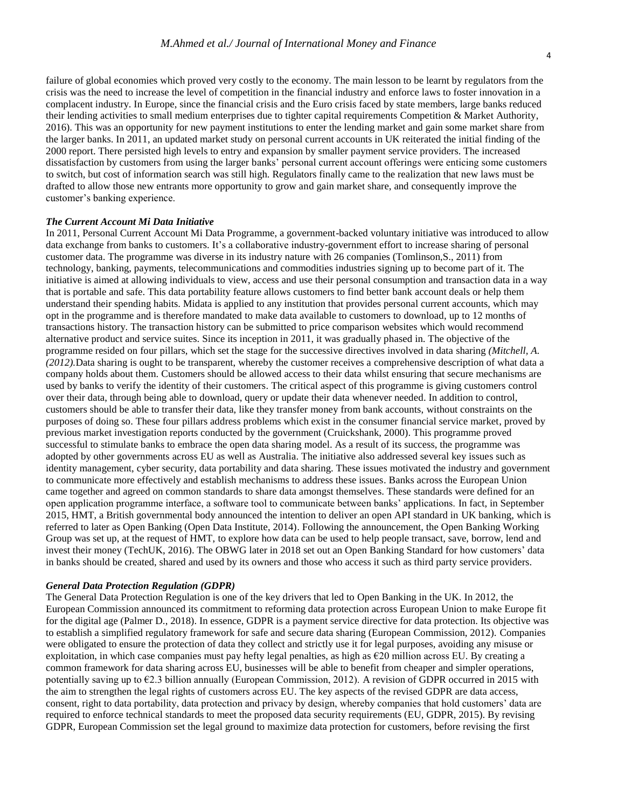failure of global economies which proved very costly to the economy. The main lesson to be learnt by regulators from the crisis was the need to increase the level of competition in the financial industry and enforce laws to foster innovation in a complacent industry. In Europe, since the financial crisis and the Euro crisis faced by state members, large banks reduced their lending activities to small medium enterprises due to tighter capital requirements Competition & Market Authority, 2016). This was an opportunity for new payment institutions to enter the lending market and gain some market share from the larger banks. In 2011, an updated market study on personal current accounts in UK reiterated the initial finding of the 2000 report. There persisted high levels to entry and expansion by smaller payment service providers. The increased dissatisfaction by customers from using the larger banks' personal current account offerings were enticing some customers to switch, but cost of information search was still high. Regulators finally came to the realization that new laws must be drafted to allow those new entrants more opportunity to grow and gain market share, and consequently improve the customer's banking experience.

#### *The Current Account Mi Data Initiative*

In 2011, Personal Current Account Mi Data Programme, a government-backed voluntary initiative was introduced to allow data exchange from banks to customers. It's a collaborative industry-government effort to increase sharing of personal customer data. The programme was diverse in its industry nature with 26 companies (Tomlinson,S., 2011) from technology, banking, payments, telecommunications and commodities industries signing up to become part of it. The initiative is aimed at allowing individuals to view, access and use their personal consumption and transaction data in a way that is portable and safe. This data portability feature allows customers to find better bank account deals or help them understand their spending habits. Midata is applied to any institution that provides personal current accounts, which may opt in the programme and is therefore mandated to make data available to customers to download, up to 12 months of transactions history. The transaction history can be submitted to price comparison websites which would recommend alternative product and service suites. Since its inception in 2011, it was gradually phased in. The objective of the programme resided on four pillars, which set the stage for the successive directives involved in data sharing *(Mitchell, A. (2012).*Data sharing is ought to be transparent, whereby the customer receives a comprehensive description of what data a company holds about them. Customers should be allowed access to their data whilst ensuring that secure mechanisms are used by banks to verify the identity of their customers. The critical aspect of this programme is giving customers control over their data, through being able to download, query or update their data whenever needed. In addition to control, customers should be able to transfer their data, like they transfer money from bank accounts, without constraints on the purposes of doing so. These four pillars address problems which exist in the consumer financial service market, proved by previous market investigation reports conducted by the government (Cruickshank, 2000). This programme proved successful to stimulate banks to embrace the open data sharing model. As a result of its success, the programme was adopted by other governments across EU as well as Australia. The initiative also addressed several key issues such as identity management, cyber security, data portability and data sharing. These issues motivated the industry and government to communicate more effectively and establish mechanisms to address these issues. Banks across the European Union came together and agreed on common standards to share data amongst themselves. These standards were defined for an open application programme interface, a software tool to communicate between banks' applications. In fact, in September 2015, HMT, a British governmental body announced the intention to deliver an open API standard in UK banking, which is referred to later as Open Banking (Open Data Institute, 2014). Following the announcement, the Open Banking Working Group was set up, at the request of HMT, to explore how data can be used to help people transact, save, borrow, lend and invest their money (TechUK, 2016). The OBWG later in 2018 set out an Open Banking Standard for how customers' data in banks should be created, shared and used by its owners and those who access it such as third party service providers.

#### *General Data Protection Regulation (GDPR)*

The General Data Protection Regulation is one of the key drivers that led to Open Banking in the UK. In 2012, the European Commission announced its commitment to reforming data protection across European Union to make Europe fit for the digital age (Palmer D., 2018). In essence, GDPR is a payment service directive for data protection. Its objective was to establish a simplified regulatory framework for safe and secure data sharing (European Commission, 2012). Companies were obligated to ensure the protection of data they collect and strictly use it for legal purposes, avoiding any misuse or exploitation, in which case companies must pay hefty legal penalties, as high as  $\epsilon$ 20 million across EU. By creating a common framework for data sharing across EU, businesses will be able to benefit from cheaper and simpler operations, potentially saving up to  $\epsilon$ 2.3 billion annually (European Commission, 2012). A revision of GDPR occurred in 2015 with the aim to strengthen the legal rights of customers across EU. The key aspects of the revised GDPR are data access, consent, right to data portability, data protection and privacy by design, whereby companies that hold customers' data are required to enforce technical standards to meet the proposed data security requirements (EU, GDPR, 2015). By revising GDPR, European Commission set the legal ground to maximize data protection for customers, before revising the first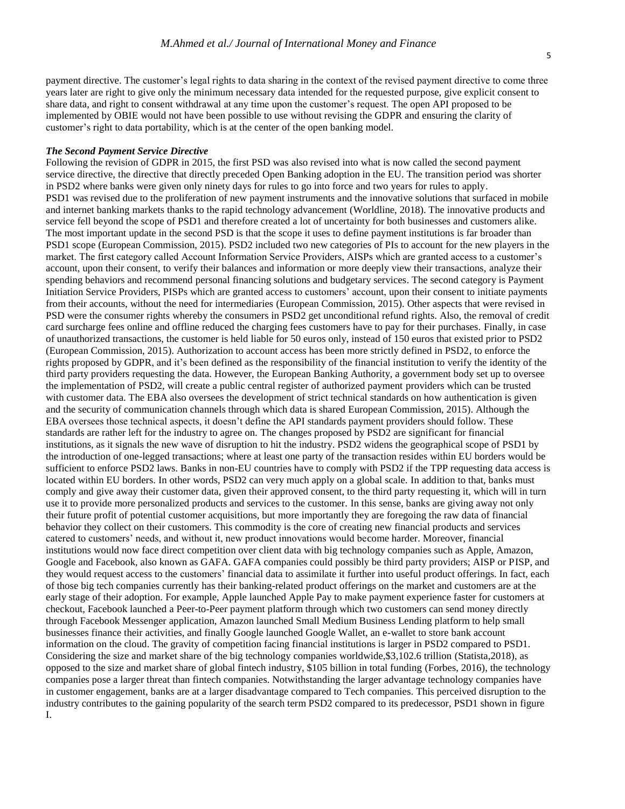payment directive. The customer's legal rights to data sharing in the context of the revised payment directive to come three years later are right to give only the minimum necessary data intended for the requested purpose, give explicit consent to share data, and right to consent withdrawal at any time upon the customer's request. The open API proposed to be implemented by OBIE would not have been possible to use without revising the GDPR and ensuring the clarity of customer's right to data portability, which is at the center of the open banking model.

#### *The Second Payment Service Directive*

Following the revision of GDPR in 2015, the first PSD was also revised into what is now called the second payment service directive, the directive that directly preceded Open Banking adoption in the EU. The transition period was shorter in PSD2 where banks were given only ninety days for rules to go into force and two years for rules to apply. PSD1 was revised due to the proliferation of new payment instruments and the innovative solutions that surfaced in mobile and internet banking markets thanks to the rapid technology advancement (Worldline, 2018). The innovative products and service fell beyond the scope of PSD1 and therefore created a lot of uncertainty for both businesses and customers alike. The most important update in the second PSD is that the scope it uses to define payment institutions is far broader than PSD1 scope (European Commission, 2015). PSD2 included two new categories of PIs to account for the new players in the market. The first category called Account Information Service Providers, AISPs which are granted access to a customer's account, upon their consent, to verify their balances and information or more deeply view their transactions, analyze their spending behaviors and recommend personal financing solutions and budgetary services. The second category is Payment Initiation Service Providers, PISPs which are granted access to customers' account, upon their consent to initiate payments from their accounts, without the need for intermediaries (European Commission, 2015). Other aspects that were revised in PSD were the consumer rights whereby the consumers in PSD2 get unconditional refund rights. Also, the removal of credit card surcharge fees online and offline reduced the charging fees customers have to pay for their purchases. Finally, in case of unauthorized transactions, the customer is held liable for 50 euros only, instead of 150 euros that existed prior to PSD2 (European Commission, 2015). Authorization to account access has been more strictly defined in PSD2, to enforce the rights proposed by GDPR, and it's been defined as the responsibility of the financial institution to verify the identity of the third party providers requesting the data. However, the European Banking Authority, a government body set up to oversee the implementation of PSD2, will create a public central register of authorized payment providers which can be trusted with customer data. The EBA also oversees the development of strict technical standards on how authentication is given and the security of communication channels through which data is shared European Commission, 2015). Although the EBA oversees those technical aspects, it doesn't define the API standards payment providers should follow. These standards are rather left for the industry to agree on. The changes proposed by PSD2 are significant for financial institutions, as it signals the new wave of disruption to hit the industry. PSD2 widens the geographical scope of PSD1 by the introduction of one-legged transactions; where at least one party of the transaction resides within EU borders would be sufficient to enforce PSD2 laws. Banks in non-EU countries have to comply with PSD2 if the TPP requesting data access is located within EU borders. In other words, PSD2 can very much apply on a global scale. In addition to that, banks must comply and give away their customer data, given their approved consent, to the third party requesting it, which will in turn use it to provide more personalized products and services to the customer. In this sense, banks are giving away not only their future profit of potential customer acquisitions, but more importantly they are foregoing the raw data of financial behavior they collect on their customers. This commodity is the core of creating new financial products and services catered to customers' needs, and without it, new product innovations would become harder. Moreover, financial institutions would now face direct competition over client data with big technology companies such as Apple, Amazon, Google and Facebook, also known as GAFA. GAFA companies could possibly be third party providers; AISP or PISP, and they would request access to the customers' financial data to assimilate it further into useful product offerings. In fact, each of those big tech companies currently has their banking-related product offerings on the market and customers are at the early stage of their adoption. For example, Apple launched Apple Pay to make payment experience faster for customers at checkout, Facebook launched a Peer-to-Peer payment platform through which two customers can send money directly through Facebook Messenger application, Amazon launched Small Medium Business Lending platform to help small businesses finance their activities, and finally Google launched Google Wallet, an e-wallet to store bank account information on the cloud. The gravity of competition facing financial institutions is larger in PSD2 compared to PSD1. Considering the size and market share of the big technology companies worldwide,\$3,102.6 trillion (Statista,2018), as opposed to the size and market share of global fintech industry, \$105 billion in total funding (Forbes, 2016), the technology companies pose a larger threat than fintech companies. Notwithstanding the larger advantage technology companies have in customer engagement, banks are at a larger disadvantage compared to Tech companies. This perceived disruption to the industry contributes to the gaining popularity of the search term PSD2 compared to its predecessor, PSD1 shown in figure I.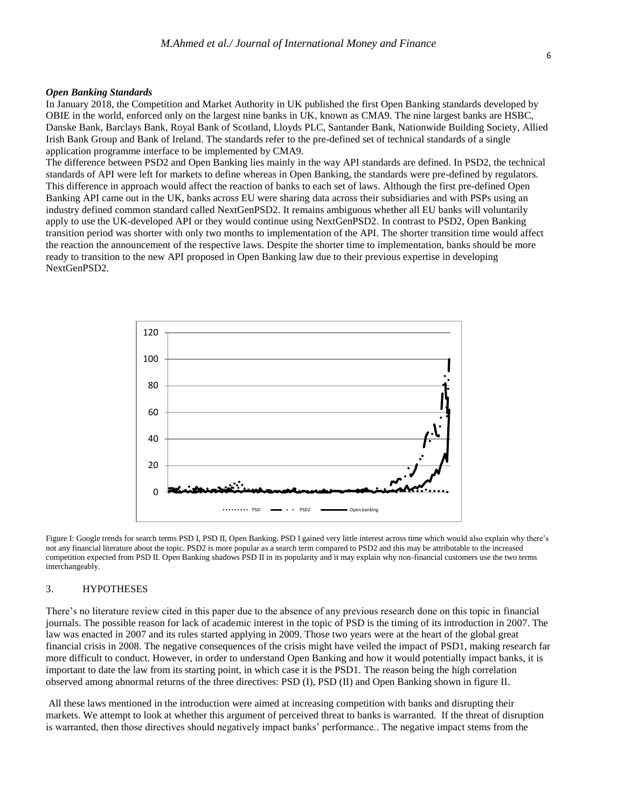#### *Open Banking Standards*

In January 2018, the Competition and Market Authority in UK published the first Open Banking standards developed by OBIE in the world, enforced only on the largest nine banks in UK, known as CMA9. The nine largest banks are HSBC, Danske Bank, Barclays Bank, Royal Bank of Scotland, Lloyds PLC, Santander Bank, Nationwide Building Society, Allied Irish Bank Group and Bank of Ireland. The standards refer to the pre-defined set of technical standards of a single application programme interface to be implemented by CMA9.

The difference between PSD2 and Open Banking lies mainly in the way API standards are defined. In PSD2, the technical standards of API were left for markets to define whereas in Open Banking, the standards were pre-defined by regulators. This difference in approach would affect the reaction of banks to each set of laws. Although the first pre-defined Open Banking API came out in the UK, banks across EU were sharing data across their subsidiaries and with PSPs using an industry defined common standard called NextGenPSD2. It remains ambiguous whether all EU banks will voluntarily apply to use the UK-developed API or they would continue using NextGenPSD2. In contrast to PSD2, Open Banking transition period was shorter with only two months to implementation of the API. The shorter transition time would affect the reaction the announcement of the respective laws. Despite the shorter time to implementation, banks should be more ready to transition to the new API proposed in Open Banking law due to their previous expertise in developing NextGenPSD2.



Figure I: Google trends for search terms PSD I, PSD II, Open Banking. PSD I gained very little interest across time which would also explain why there's not any financial literature about the topic. PSD2 is more popular as a search term compared to PSD2 and this may be attributable to the increased competition expected from PSD II. Open Banking shadows PSD II in its popularity and it may explain why non-financial customers use the two terms interchangeably.

### 3. HYPOTHESES

There's no literature review cited in this paper due to the absence of any previous research done on this topic in financial journals. The possible reason for lack of academic interest in the topic of PSD is the timing of its introduction in 2007. The law was enacted in 2007 and its rules started applying in 2009. Those two years were at the heart of the global great financial crisis in 2008. The negative consequences of the crisis might have veiled the impact of PSD1, making research far more difficult to conduct. However, in order to understand Open Banking and how it would potentially impact banks, it is important to date the law from its starting point, in which case it is the PSD1. The reason being the high correlation observed among abnormal returns of the three directives: PSD (I), PSD (II) and Open Banking shown in figure II.

All these laws mentioned in the introduction were aimed at increasing competition with banks and disrupting their markets. We attempt to look at whether this argument of perceived threat to banks is warranted. If the threat of disruption is warranted, then those directives should negatively impact banks' performance.. The negative impact stems from the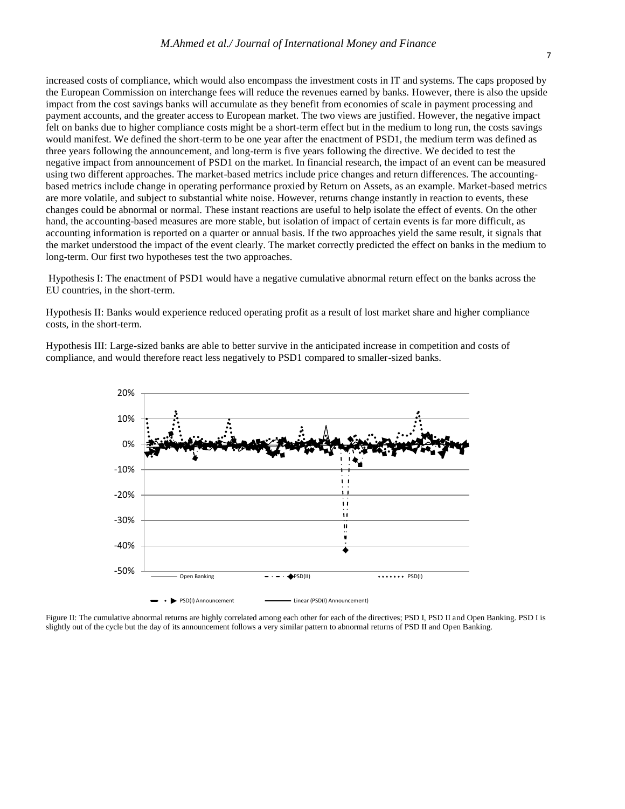increased costs of compliance, which would also encompass the investment costs in IT and systems. The caps proposed by the European Commission on interchange fees will reduce the revenues earned by banks. However, there is also the upside impact from the cost savings banks will accumulate as they benefit from economies of scale in payment processing and payment accounts, and the greater access to European market. The two views are justified. However, the negative impact felt on banks due to higher compliance costs might be a short-term effect but in the medium to long run, the costs savings would manifest. We defined the short-term to be one year after the enactment of PSD1, the medium term was defined as three years following the announcement, and long-term is five years following the directive. We decided to test the negative impact from announcement of PSD1 on the market. In financial research, the impact of an event can be measured using two different approaches. The market-based metrics include price changes and return differences. The accountingbased metrics include change in operating performance proxied by Return on Assets, as an example. Market-based metrics are more volatile, and subject to substantial white noise. However, returns change instantly in reaction to events, these changes could be abnormal or normal. These instant reactions are useful to help isolate the effect of events. On the other hand, the accounting-based measures are more stable, but isolation of impact of certain events is far more difficult, as accounting information is reported on a quarter or annual basis. If the two approaches yield the same result, it signals that the market understood the impact of the event clearly. The market correctly predicted the effect on banks in the medium to long-term. Our first two hypotheses test the two approaches.

Hypothesis I: The enactment of PSD1 would have a negative cumulative abnormal return effect on the banks across the EU countries, in the short-term.

Hypothesis II: Banks would experience reduced operating profit as a result of lost market share and higher compliance costs, in the short-term.

Hypothesis III: Large-sized banks are able to better survive in the anticipated increase in competition and costs of compliance, and would therefore react less negatively to PSD1 compared to smaller-sized banks.



Figure II: The cumulative abnormal returns are highly correlated among each other for each of the directives; PSD I, PSD II, and Open Banking. PSD I is slightly out of the cycle but the day of its announcement follows a very similar pattern to abnormal returns of PSD II and Open Banking.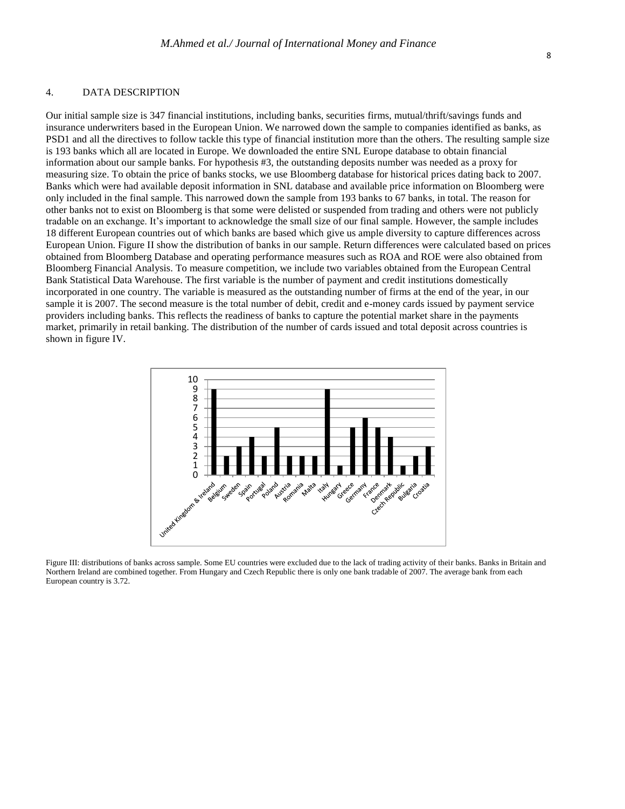#### 4. DATA DESCRIPTION

Our initial sample size is 347 financial institutions, including banks, securities firms, mutual/thrift/savings funds and insurance underwriters based in the European Union. We narrowed down the sample to companies identified as banks, as PSD1 and all the directives to follow tackle this type of financial institution more than the others. The resulting sample size is 193 banks which all are located in Europe. We downloaded the entire SNL Europe database to obtain financial information about our sample banks. For hypothesis #3, the outstanding deposits number was needed as a proxy for measuring size. To obtain the price of banks stocks, we use Bloomberg database for historical prices dating back to 2007. Banks which were had available deposit information in SNL database and available price information on Bloomberg were only included in the final sample. This narrowed down the sample from 193 banks to 67 banks, in total. The reason for other banks not to exist on Bloomberg is that some were delisted or suspended from trading and others were not publicly tradable on an exchange. It's important to acknowledge the small size of our final sample. However, the sample includes 18 different European countries out of which banks are based which give us ample diversity to capture differences across European Union. Figure II show the distribution of banks in our sample. Return differences were calculated based on prices obtained from Bloomberg Database and operating performance measures such as ROA and ROE were also obtained from Bloomberg Financial Analysis. To measure competition, we include two variables obtained from the European Central Bank Statistical Data Warehouse. The first variable is the number of payment and credit institutions domestically incorporated in one country. The variable is measured as the outstanding number of firms at the end of the year, in our sample it is 2007. The second measure is the total number of debit, credit and e-money cards issued by payment service providers including banks. This reflects the readiness of banks to capture the potential market share in the payments market, primarily in retail banking. The distribution of the number of cards issued and total deposit across countries is shown in figure IV.



Figure III: distributions of banks across sample. Some EU countries were excluded due to the lack of trading activity of their banks. Banks in Britain and Northern Ireland are combined together. From Hungary and Czech Republic there is only one bank tradable of 2007. The average bank from each European country is 3.72.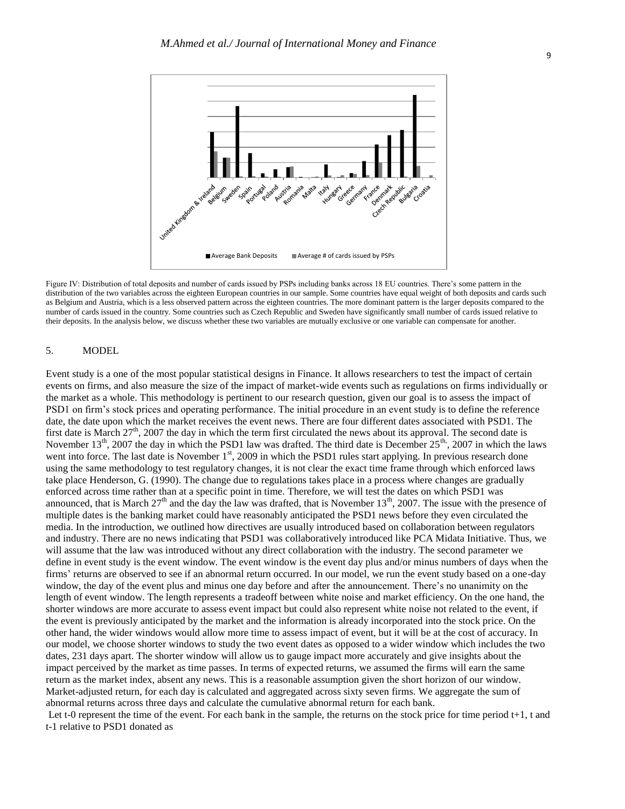

Figure IV: Distribution of total deposits and number of cards issued by PSPs including banks across 18 EU countries. There's some pattern in the distribution of the two variables across the eighteen European countries in our sample. Some countries have equal weight of both deposits and cards such as Belgium and Austria, which is a less observed pattern across the eighteen countries. The more dominant pattern is the larger deposits compared to the number of cards issued in the country. Some countries such as Czech Republic and Sweden have significantly small number of cards issued relative to their deposits. In the analysis below, we discuss whether these two variables are mutually exclusive or one variable can compensate for another.

#### 5. MODEL

Event study is a one of the most popular statistical designs in Finance. It allows researchers to test the impact of certain events on firms, and also measure the size of the impact of market-wide events such as regulations on firms individually or the market as a whole. This methodology is pertinent to our research question, given our goal is to assess the impact of PSD1 on firm's stock prices and operating performance. The initial procedure in an event study is to define the reference date, the date upon which the market receives the event news. There are four different dates associated with PSD1. The first date is March  $27<sup>th</sup>$ , 2007 the day in which the term first circulated the news about its approval. The second date is November  $13<sup>th</sup>$ , 2007 the day in which the PSD1 law was drafted. The third date is December  $25<sup>th</sup>$ , 2007 in which the laws went into force. The last date is November 1<sup>st</sup>, 2009 in which the PSD1 rules start applying. In previous research done using the same methodology to test regulatory changes, it is not clear the exact time frame through which enforced laws take place Henderson, G. (1990). The change due to regulations takes place in a process where changes are gradually enforced across time rather than at a specific point in time. Therefore, we will test the dates on which PSD1 was announced, that is March  $27<sup>th</sup>$  and the day the law was drafted, that is November  $13<sup>th</sup>$ , 2007. The issue with the presence of multiple dates is the banking market could have reasonably anticipated the PSD1 news before they even circulated the media. In the introduction, we outlined how directives are usually introduced based on collaboration between regulators and industry. There are no news indicating that PSD1 was collaboratively introduced like PCA Midata Initiative. Thus, we will assume that the law was introduced without any direct collaboration with the industry. The second parameter we define in event study is the event window. The event window is the event day plus and/or minus numbers of days when the firms' returns are observed to see if an abnormal return occurred. In our model, we run the event study based on a one-day window, the day of the event plus and minus one day before and after the announcement. There's no unanimity on the length of event window. The length represents a tradeoff between white noise and market efficiency. On the one hand, the shorter windows are more accurate to assess event impact but could also represent white noise not related to the event, if the event is previously anticipated by the market and the information is already incorporated into the stock price. On the other hand, the wider windows would allow more time to assess impact of event, but it will be at the cost of accuracy. In our model, we choose shorter windows to study the two event dates as opposed to a wider window which includes the two dates, 231 days apart. The shorter window will allow us to gauge impact more accurately and give insights about the impact perceived by the market as time passes. In terms of expected returns, we assumed the firms will earn the same return as the market index, absent any news. This is a reasonable assumption given the short horizon of our window. Market-adjusted return, for each day is calculated and aggregated across sixty seven firms. We aggregate the sum of abnormal returns across three days and calculate the cumulative abnormal return for each bank.

Let t-0 represent the time of the event. For each bank in the sample, the returns on the stock price for time period  $t+1$ , t and t-1 relative to PSD1 donated as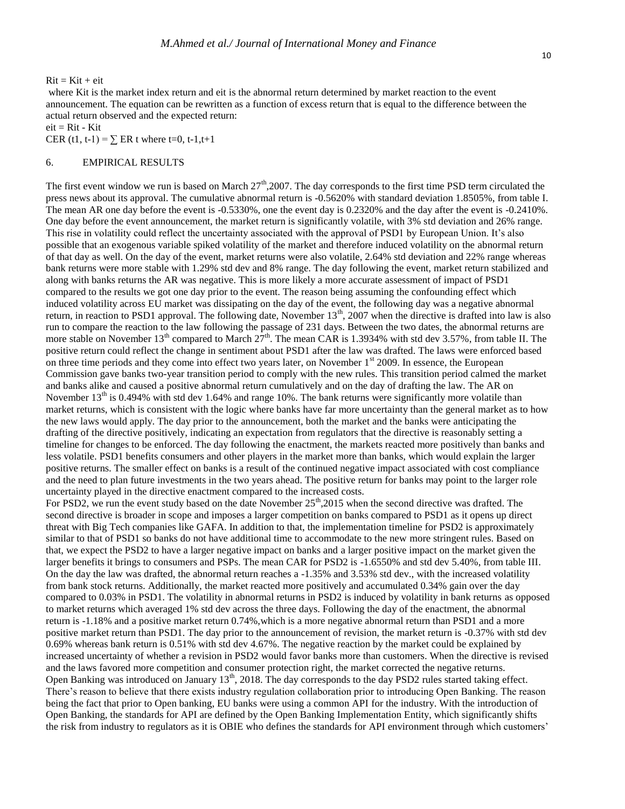$Rit = Kit + eit$ 

where Kit is the market index return and eit is the abnormal return determined by market reaction to the event announcement. The equation can be rewritten as a function of excess return that is equal to the difference between the actual return observed and the expected return:

 $eit = Rit - Kit$ 

CER (t1, t-1) =  $\Sigma$  ER t where t=0, t-1,t+1

#### 6. EMPIRICAL RESULTS

The first event window we run is based on March  $27<sup>th</sup>$ , 2007. The day corresponds to the first time PSD term circulated the press news about its approval. The cumulative abnormal return is -0.5620% with standard deviation 1.8505%, from table I. The mean AR one day before the event is -0.5330%, one the event day is 0.2320% and the day after the event is -0.2410%. One day before the event announcement, the market return is significantly volatile, with 3% std deviation and 26% range. This rise in volatility could reflect the uncertainty associated with the approval of PSD1 by European Union. It's also possible that an exogenous variable spiked volatility of the market and therefore induced volatility on the abnormal return of that day as well. On the day of the event, market returns were also volatile, 2.64% std deviation and 22% range whereas bank returns were more stable with 1.29% std dev and 8% range. The day following the event, market return stabilized and along with banks returns the AR was negative. This is more likely a more accurate assessment of impact of PSD1 compared to the results we got one day prior to the event. The reason being assuming the confounding effect which induced volatility across EU market was dissipating on the day of the event, the following day was a negative abnormal return, in reaction to PSD1 approval. The following date, November  $13<sup>th</sup>$ , 2007 when the directive is drafted into law is also run to compare the reaction to the law following the passage of 231 days. Between the two dates, the abnormal returns are more stable on November 13<sup>th</sup> compared to March  $27<sup>th</sup>$ . The mean CAR is 1.3934% with std dev 3.57%, from table II. The positive return could reflect the change in sentiment about PSD1 after the law was drafted. The laws were enforced based on three time periods and they come into effect two years later, on November 1<sup>st</sup> 2009. In essence, the European Commission gave banks two-year transition period to comply with the new rules. This transition period calmed the market and banks alike and caused a positive abnormal return cumulatively and on the day of drafting the law. The AR on November  $13<sup>th</sup>$  is 0.494% with std dev 1.64% and range 10%. The bank returns were significantly more volatile than market returns, which is consistent with the logic where banks have far more uncertainty than the general market as to how the new laws would apply. The day prior to the announcement, both the market and the banks were anticipating the drafting of the directive positively, indicating an expectation from regulators that the directive is reasonably setting a timeline for changes to be enforced. The day following the enactment, the markets reacted more positively than banks and less volatile. PSD1 benefits consumers and other players in the market more than banks, which would explain the larger positive returns. The smaller effect on banks is a result of the continued negative impact associated with cost compliance and the need to plan future investments in the two years ahead. The positive return for banks may point to the larger role uncertainty played in the directive enactment compared to the increased costs.

For PSD2, we run the event study based on the date November  $25<sup>th</sup>$ ,2015 when the second directive was drafted. The second directive is broader in scope and imposes a larger competition on banks compared to PSD1 as it opens up direct threat with Big Tech companies like GAFA. In addition to that, the implementation timeline for PSD2 is approximately similar to that of PSD1 so banks do not have additional time to accommodate to the new more stringent rules. Based on that, we expect the PSD2 to have a larger negative impact on banks and a larger positive impact on the market given the larger benefits it brings to consumers and PSPs. The mean CAR for PSD2 is -1.6550% and std dev 5.40%, from table III. On the day the law was drafted, the abnormal return reaches a -1.35% and 3.53% std dev., with the increased volatility from bank stock returns. Additionally, the market reacted more positively and accumulated 0.34% gain over the day compared to 0.03% in PSD1. The volatility in abnormal returns in PSD2 is induced by volatility in bank returns as opposed to market returns which averaged 1% std dev across the three days. Following the day of the enactment, the abnormal return is -1.18% and a positive market return 0.74%,which is a more negative abnormal return than PSD1 and a more positive market return than PSD1. The day prior to the announcement of revision, the market return is -0.37% with std dev 0.69% whereas bank return is 0.51% with std dev 4.67%. The negative reaction by the market could be explained by increased uncertainty of whether a revision in PSD2 would favor banks more than customers. When the directive is revised and the laws favored more competition and consumer protection right, the market corrected the negative returns. Open Banking was introduced on January 13<sup>th</sup>, 2018. The day corresponds to the day PSD2 rules started taking effect. There's reason to believe that there exists industry regulation collaboration prior to introducing Open Banking. The reason being the fact that prior to Open banking, EU banks were using a common API for the industry. With the introduction of Open Banking, the standards for API are defined by the Open Banking Implementation Entity, which significantly shifts the risk from industry to regulators as it is OBIE who defines the standards for API environment through which customers'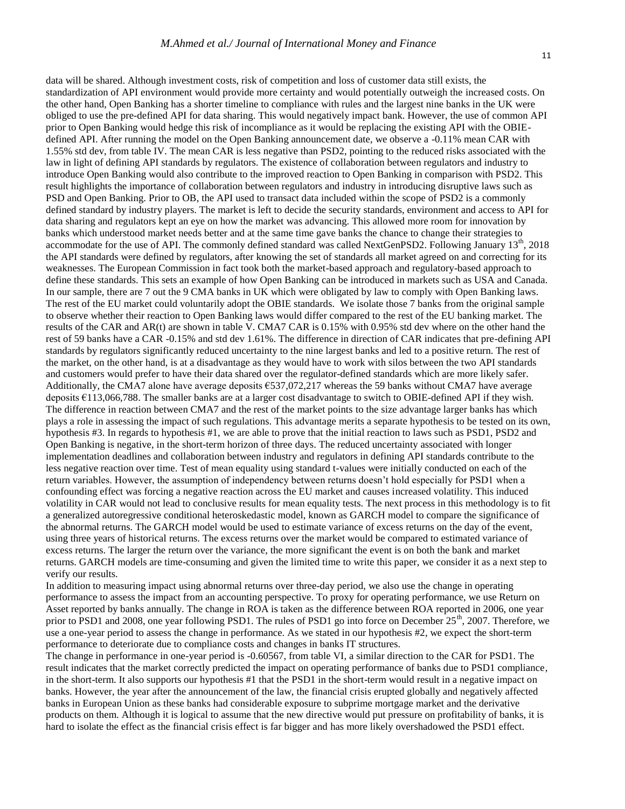data will be shared. Although investment costs, risk of competition and loss of customer data still exists, the standardization of API environment would provide more certainty and would potentially outweigh the increased costs. On the other hand, Open Banking has a shorter timeline to compliance with rules and the largest nine banks in the UK were obliged to use the pre-defined API for data sharing. This would negatively impact bank. However, the use of common API prior to Open Banking would hedge this risk of incompliance as it would be replacing the existing API with the OBIEdefined API. After running the model on the Open Banking announcement date, we observe a -0.11% mean CAR with 1.55% std dev, from table IV. The mean CAR is less negative than PSD2, pointing to the reduced risks associated with the law in light of defining API standards by regulators. The existence of collaboration between regulators and industry to introduce Open Banking would also contribute to the improved reaction to Open Banking in comparison with PSD2. This result highlights the importance of collaboration between regulators and industry in introducing disruptive laws such as PSD and Open Banking. Prior to OB, the API used to transact data included within the scope of PSD2 is a commonly defined standard by industry players. The market is left to decide the security standards, environment and access to API for data sharing and regulators kept an eye on how the market was advancing. This allowed more room for innovation by banks which understood market needs better and at the same time gave banks the chance to change their strategies to accommodate for the use of API. The commonly defined standard was called NextGenPSD2. Following January  $13<sup>th</sup>$ , 2018 the API standards were defined by regulators, after knowing the set of standards all market agreed on and correcting for its weaknesses. The European Commission in fact took both the market-based approach and regulatory-based approach to define these standards. This sets an example of how Open Banking can be introduced in markets such as USA and Canada. In our sample, there are 7 out the 9 CMA banks in UK which were obligated by law to comply with Open Banking laws. The rest of the EU market could voluntarily adopt the OBIE standards. We isolate those 7 banks from the original sample to observe whether their reaction to Open Banking laws would differ compared to the rest of the EU banking market. The results of the CAR and AR(t) are shown in table V. CMA7 CAR is 0.15% with 0.95% std dev where on the other hand the rest of 59 banks have a CAR -0.15% and std dev 1.61%. The difference in direction of CAR indicates that pre-defining API standards by regulators significantly reduced uncertainty to the nine largest banks and led to a positive return. The rest of the market, on the other hand, is at a disadvantage as they would have to work with silos between the two API standards and customers would prefer to have their data shared over the regulator-defined standards which are more likely safer. Additionally, the CMA7 alone have average deposits €537,072,217 whereas the 59 banks without CMA7 have average deposits €113,066,788. The smaller banks are at a larger cost disadvantage to switch to OBIE-defined API if they wish. The difference in reaction between CMA7 and the rest of the market points to the size advantage larger banks has which plays a role in assessing the impact of such regulations. This advantage merits a separate hypothesis to be tested on its own, hypothesis #3. In regards to hypothesis #1, we are able to prove that the initial reaction to laws such as PSD1, PSD2 and Open Banking is negative, in the short-term horizon of three days. The reduced uncertainty associated with longer implementation deadlines and collaboration between industry and regulators in defining API standards contribute to the less negative reaction over time. Test of mean equality using standard t-values were initially conducted on each of the return variables. However, the assumption of independency between returns doesn't hold especially for PSD1 when a confounding effect was forcing a negative reaction across the EU market and causes increased volatility. This induced volatility in CAR would not lead to conclusive results for mean equality tests. The next process in this methodology is to fit a generalized autoregressive conditional heteroskedastic model, known as GARCH model to compare the significance of the abnormal returns. The GARCH model would be used to estimate variance of excess returns on the day of the event, using three years of historical returns. The excess returns over the market would be compared to estimated variance of excess returns. The larger the return over the variance, the more significant the event is on both the bank and market returns. GARCH models are time-consuming and given the limited time to write this paper, we consider it as a next step to verify our results.

In addition to measuring impact using abnormal returns over three-day period, we also use the change in operating performance to assess the impact from an accounting perspective. To proxy for operating performance, we use Return on Asset reported by banks annually. The change in ROA is taken as the difference between ROA reported in 2006, one year prior to PSD1 and 2008, one year following PSD1. The rules of PSD1 go into force on December 25<sup>th</sup>, 2007. Therefore, we use a one-year period to assess the change in performance. As we stated in our hypothesis #2, we expect the short-term performance to deteriorate due to compliance costs and changes in banks IT structures.

The change in performance in one-year period is -0.60567, from table VI, a similar direction to the CAR for PSD1. The result indicates that the market correctly predicted the impact on operating performance of banks due to PSD1 compliance, in the short-term. It also supports our hypothesis #1 that the PSD1 in the short-term would result in a negative impact on banks. However, the year after the announcement of the law, the financial crisis erupted globally and negatively affected banks in European Union as these banks had considerable exposure to subprime mortgage market and the derivative products on them. Although it is logical to assume that the new directive would put pressure on profitability of banks, it is hard to isolate the effect as the financial crisis effect is far bigger and has more likely overshadowed the PSD1 effect.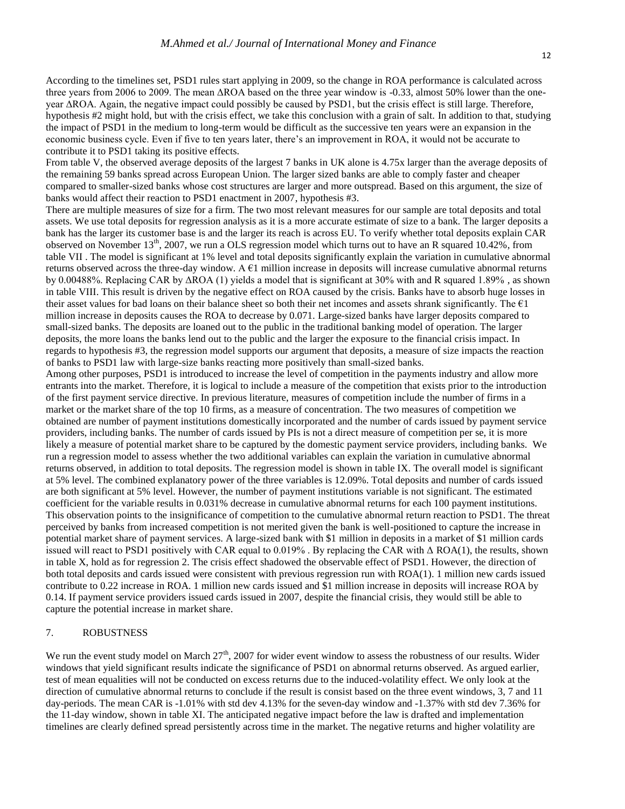According to the timelines set, PSD1 rules start applying in 2009, so the change in ROA performance is calculated across three years from 2006 to 2009. The mean ΔROA based on the three year window is -0.33, almost 50% lower than the oneyear ΔROA. Again, the negative impact could possibly be caused by PSD1, but the crisis effect is still large. Therefore, hypothesis #2 might hold, but with the crisis effect, we take this conclusion with a grain of salt. In addition to that, studying the impact of PSD1 in the medium to long-term would be difficult as the successive ten years were an expansion in the economic business cycle. Even if five to ten years later, there's an improvement in ROA, it would not be accurate to contribute it to PSD1 taking its positive effects.

From table V, the observed average deposits of the largest 7 banks in UK alone is 4.75x larger than the average deposits of the remaining 59 banks spread across European Union. The larger sized banks are able to comply faster and cheaper compared to smaller-sized banks whose cost structures are larger and more outspread. Based on this argument, the size of banks would affect their reaction to PSD1 enactment in 2007, hypothesis #3.

There are multiple measures of size for a firm. The two most relevant measures for our sample are total deposits and total assets. We use total deposits for regression analysis as it is a more accurate estimate of size to a bank. The larger deposits a bank has the larger its customer base is and the larger its reach is across EU. To verify whether total deposits explain CAR observed on November 13<sup>th</sup>, 2007, we run a OLS regression model which turns out to have an R squared 10.42%, from table VII . The model is significant at 1% level and total deposits significantly explain the variation in cumulative abnormal returns observed across the three-day window. A  $\epsilon$ 1 million increase in deposits will increase cumulative abnormal returns by 0.00488%. Replacing CAR by ΔROA (1) yields a model that is significant at 30% with and R squared 1.89% , as shown in table VIII. This result is driven by the negative effect on ROA caused by the crisis. Banks have to absorb huge losses in their asset values for bad loans on their balance sheet so both their net incomes and assets shrank significantly. The  $E1$ million increase in deposits causes the ROA to decrease by 0.071. Large-sized banks have larger deposits compared to small-sized banks. The deposits are loaned out to the public in the traditional banking model of operation. The larger deposits, the more loans the banks lend out to the public and the larger the exposure to the financial crisis impact. In regards to hypothesis #3, the regression model supports our argument that deposits, a measure of size impacts the reaction of banks to PSD1 law with large-size banks reacting more positively than small-sized banks.

Among other purposes, PSD1 is introduced to increase the level of competition in the payments industry and allow more entrants into the market. Therefore, it is logical to include a measure of the competition that exists prior to the introduction of the first payment service directive. In previous literature, measures of competition include the number of firms in a market or the market share of the top 10 firms, as a measure of concentration. The two measures of competition we obtained are number of payment institutions domestically incorporated and the number of cards issued by payment service providers, including banks. The number of cards issued by PIs is not a direct measure of competition per se, it is more likely a measure of potential market share to be captured by the domestic payment service providers, including banks. We run a regression model to assess whether the two additional variables can explain the variation in cumulative abnormal returns observed, in addition to total deposits. The regression model is shown in table IX. The overall model is significant at 5% level. The combined explanatory power of the three variables is 12.09%. Total deposits and number of cards issued are both significant at 5% level. However, the number of payment institutions variable is not significant. The estimated coefficient for the variable results in 0.031% decrease in cumulative abnormal returns for each 100 payment institutions. This observation points to the insignificance of competition to the cumulative abnormal return reaction to PSD1. The threat perceived by banks from increased competition is not merited given the bank is well-positioned to capture the increase in potential market share of payment services. A large-sized bank with \$1 million in deposits in a market of \$1 million cards issued will react to PSD1 positively with CAR equal to 0.019%. By replacing the CAR with  $\Delta$  ROA(1), the results, shown in table X, hold as for regression 2. The crisis effect shadowed the observable effect of PSD1. However, the direction of both total deposits and cards issued were consistent with previous regression run with ROA(1). 1 million new cards issued contribute to 0.22 increase in ROA. 1 million new cards issued and \$1 million increase in deposits will increase ROA by 0.14. If payment service providers issued cards issued in 2007, despite the financial crisis, they would still be able to capture the potential increase in market share.

# 7. ROBUSTNESS

We run the event study model on March  $27<sup>th</sup>$ , 2007 for wider event window to assess the robustness of our results. Wider windows that yield significant results indicate the significance of PSD1 on abnormal returns observed. As argued earlier, test of mean equalities will not be conducted on excess returns due to the induced-volatility effect. We only look at the direction of cumulative abnormal returns to conclude if the result is consist based on the three event windows, 3, 7 and 11 day-periods. The mean CAR is -1.01% with std dev 4.13% for the seven-day window and -1.37% with std dev 7.36% for the 11-day window, shown in table XI. The anticipated negative impact before the law is drafted and implementation timelines are clearly defined spread persistently across time in the market. The negative returns and higher volatility are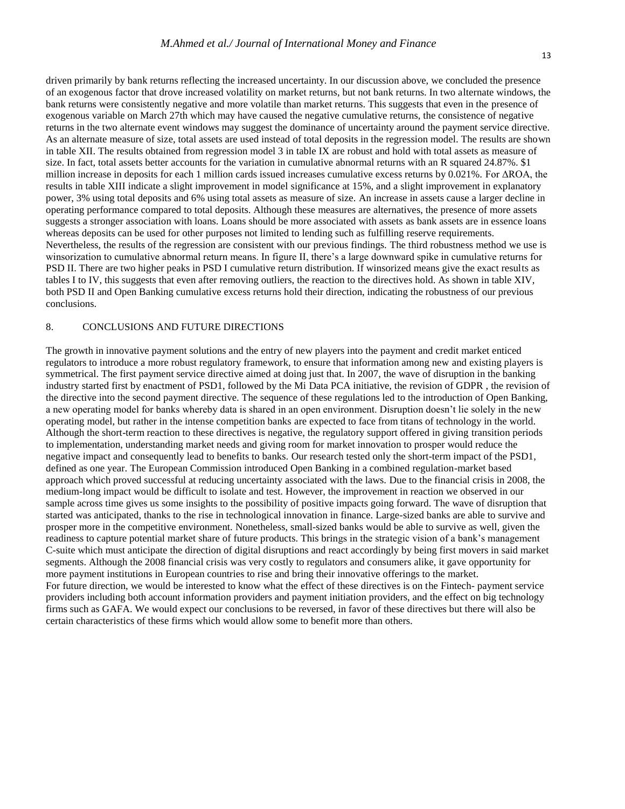driven primarily by bank returns reflecting the increased uncertainty. In our discussion above, we concluded the presence of an exogenous factor that drove increased volatility on market returns, but not bank returns. In two alternate windows, the bank returns were consistently negative and more volatile than market returns. This suggests that even in the presence of exogenous variable on March 27th which may have caused the negative cumulative returns, the consistence of negative returns in the two alternate event windows may suggest the dominance of uncertainty around the payment service directive. As an alternate measure of size, total assets are used instead of total deposits in the regression model. The results are shown in table XII. The results obtained from regression model 3 in table IX are robust and hold with total assets as measure of size. In fact, total assets better accounts for the variation in cumulative abnormal returns with an R squared 24.87%. \$1 million increase in deposits for each 1 million cards issued increases cumulative excess returns by 0.021%. For ΔROA, the results in table XIII indicate a slight improvement in model significance at 15%, and a slight improvement in explanatory power, 3% using total deposits and 6% using total assets as measure of size. An increase in assets cause a larger decline in operating performance compared to total deposits. Although these measures are alternatives, the presence of more assets suggests a stronger association with loans. Loans should be more associated with assets as bank assets are in essence loans whereas deposits can be used for other purposes not limited to lending such as fulfilling reserve requirements. Nevertheless, the results of the regression are consistent with our previous findings. The third robustness method we use is winsorization to cumulative abnormal return means. In figure II, there's a large downward spike in cumulative returns for PSD II. There are two higher peaks in PSD I cumulative return distribution. If winsorized means give the exact results as tables I to IV, this suggests that even after removing outliers, the reaction to the directives hold. As shown in table XIV, both PSD II and Open Banking cumulative excess returns hold their direction, indicating the robustness of our previous conclusions.

# 8. CONCLUSIONS AND FUTURE DIRECTIONS

The growth in innovative payment solutions and the entry of new players into the payment and credit market enticed regulators to introduce a more robust regulatory framework, to ensure that information among new and existing players is symmetrical. The first payment service directive aimed at doing just that. In 2007, the wave of disruption in the banking industry started first by enactment of PSD1, followed by the Mi Data PCA initiative, the revision of GDPR , the revision of the directive into the second payment directive. The sequence of these regulations led to the introduction of Open Banking, a new operating model for banks whereby data is shared in an open environment. Disruption doesn't lie solely in the new operating model, but rather in the intense competition banks are expected to face from titans of technology in the world. Although the short-term reaction to these directives is negative, the regulatory support offered in giving transition periods to implementation, understanding market needs and giving room for market innovation to prosper would reduce the negative impact and consequently lead to benefits to banks. Our research tested only the short-term impact of the PSD1, defined as one year. The European Commission introduced Open Banking in a combined regulation-market based approach which proved successful at reducing uncertainty associated with the laws. Due to the financial crisis in 2008, the medium-long impact would be difficult to isolate and test. However, the improvement in reaction we observed in our sample across time gives us some insights to the possibility of positive impacts going forward. The wave of disruption that started was anticipated, thanks to the rise in technological innovation in finance. Large-sized banks are able to survive and prosper more in the competitive environment. Nonetheless, small-sized banks would be able to survive as well, given the readiness to capture potential market share of future products. This brings in the strategic vision of a bank's management C-suite which must anticipate the direction of digital disruptions and react accordingly by being first movers in said market segments. Although the 2008 financial crisis was very costly to regulators and consumers alike, it gave opportunity for more payment institutions in European countries to rise and bring their innovative offerings to the market. For future direction, we would be interested to know what the effect of these directives is on the Fintech- payment service providers including both account information providers and payment initiation providers, and the effect on big technology firms such as GAFA. We would expect our conclusions to be reversed, in favor of these directives but there will also be certain characteristics of these firms which would allow some to benefit more than others.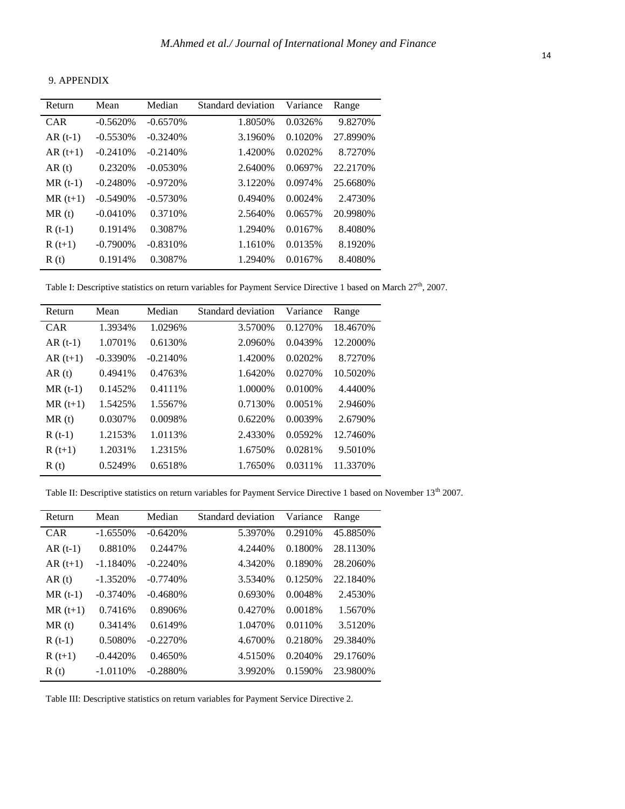# 9. APPENDIX

| Return     | Mean        | Median     | Standard deviation | Variance | Range     |
|------------|-------------|------------|--------------------|----------|-----------|
| <b>CAR</b> | $-0.5620%$  | $-0.6570%$ | 1.8050\%           | 0.0326%  | 9.8270\%  |
| $AR(t-1)$  | $-0.5530%$  | $-0.3240%$ | 3.1960\%           | 0.1020\% | 27.8990%  |
| $AR(t+1)$  | $-0.2410%$  | $-0.2140%$ | 1.4200\%           | 0.0202%  | 8.7270\%  |
| AR(t)      | 0.2320\%    | $-0.0530%$ | 2.6400\%           | 0.0697%  | 22.2170%  |
| $MR(t-1)$  | $-0.2480%$  | $-0.9720%$ | 3.1220\%           | 0.0974%  | 25.6680%  |
| $MR(t+1)$  | $-0.5490\%$ | $-0.5730%$ | 0.4940\%           | 0.0024%  | 2.4730\%  |
| MR(t)      | $-0.0410%$  | 0.3710\%   | 2.5640\%           | 0.0657%  | 20.9980\% |
| $R(t-1)$   | 0.1914\%    | 0.3087%    | 1.2940%            | 0.0167%  | 8.4080\%  |
| $R(t+1)$   | $-0.7900\%$ | $-0.8310%$ | 1.1610\%           | 0.0135%  | 8.1920\%  |
| R(t)       | 0.1914\%    | 0.3087\%   | 1.2940%            | 0.0167%  | 8.4080%   |

Table I: Descriptive statistics on return variables for Payment Service Directive 1 based on March 27<sup>th</sup>, 2007.

| Return     | Mean        | Median     | Standard deviation | Variance | Range     |
|------------|-------------|------------|--------------------|----------|-----------|
| <b>CAR</b> | 1.3934%     | 1.0296%    | 3.5700\%           | 0.1270\% | 18.4670\% |
| $AR(t-1)$  | 1.0701\%    | 0.6130\%   | 2.0960\%           | 0.0439%  | 12.2000\% |
| $AR(t+1)$  | $-0.3390\%$ | $-0.2140%$ | 1.4200\%           | 0.0202%  | 8.7270\%  |
| AR(t)      | 0.4941\%    | 0.4763%    | 1.6420\%           | 0.0270\% | 10.5020\% |
| $MR(t-1)$  | 0.1452\%    | 0.4111\%   | 1.0000%            | 0.0100\% | 4.4400\%  |
| $MR(t+1)$  | 1.5425%     | 1.5567%    | 0.7130\%           | 0.0051%  | 2.9460\%  |
| MR(t)      | 0.0307\%    | 0.0098%    | 0.6220%            | 0.0039%  | 2.6790%   |
| $R(t-1)$   | 1.2153%     | 1.0113\%   | 2.4330\%           | 0.0592%  | 12.7460\% |
| $R(t+1)$   | 1.2031\%    | 1.2315%    | 1.6750\%           | 0.0281%  | 9.5010\%  |
| R(t)       | 0.5249%     | 0.6518%    | 1.7650%            | 0.0311\% | 11.3370%  |

Table II: Descriptive statistics on return variables for Payment Service Directive 1 based on November 13<sup>th</sup> 2007.

| Return    | Mean        | Median     | Standard deviation | Variance | Range     |
|-----------|-------------|------------|--------------------|----------|-----------|
| CAR       | $-1.6550%$  | $-0.6420%$ | 5.3970%            | 0.2910\% | 45.8850%  |
| $AR(t-1)$ | 0.8810\%    | 0.2447\%   | 4.2440\%           | 0.1800\% | 28.1130\% |
| $AR(t+1)$ | $-1.1840\%$ | $-0.2240%$ | 4.3420\%           | 0.1890%  | 28.2060\% |
| AR(t)     | $-1.3520%$  | $-0.7740%$ | 3.5340\%           | 0.1250\% | 22.1840\% |
| $MR(t-1)$ | $-0.3740%$  | $-0.4680%$ | 0.6930\%           | 0.0048%  | 2.4530\%  |
| $MR(t+1)$ | 0.7416\%    | 0.8906%    | 0.4270\%           | 0.0018%  | 1.5670\%  |
| MR(t)     | 0.3414\%    | 0.6149%    | 1.0470%            | 0.0110\% | 3.5120\%  |
| $R(t-1)$  | 0.5080\%    | $-0.2270%$ | 4.6700%            | 0.2180\% | 29.3840\% |
| $R(t+1)$  | $-0.4420%$  | 0.4650\%   | 4.5150\%           | 0.2040\% | 29.1760\% |
| R(t)      | $-1.0110\%$ | $-0.2880%$ | 3.9920\%           | 0.1590\% | 23.9800\% |

Table III: Descriptive statistics on return variables for Payment Service Directive 2.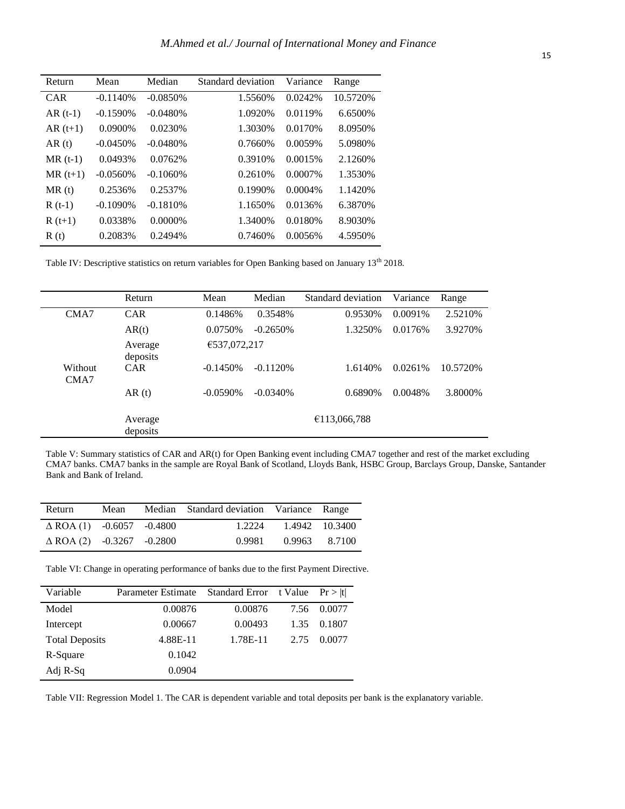| Return     | Mean        | Median      | Standard deviation | Variance   | Range     |
|------------|-------------|-------------|--------------------|------------|-----------|
| <b>CAR</b> | $-0.1140%$  | $-0.0850%$  | 1.5560%            | 0.0242%    | 10.5720\% |
| $AR(t-1)$  | $-0.1590%$  | $-0.0480%$  | 1.0920%            | 0.0119%    | 6.6500\%  |
| $AR(t+1)$  | $0.0900\%$  | 0.0230%     | 1.3030\%           | 0.0170\%   | 8.0950%   |
| AR(t)      | $-0.0450%$  | $-0.0480%$  | 0.7660\%           | 0.0059%    | 5.0980%   |
| $MR(t-1)$  | 0.0493%     | 0.0762%     | 0.3910\%           | 0.0015%    | 2.1260\%  |
| $MR(t+1)$  | $-0.0560%$  | $-0.1060\%$ | 0.2610\%           | 0.0007%    | 1.3530\%  |
| MR(t)      | 0.2536\%    | 0.2537%     | 0.1990%            | $0.0004\%$ | 1.1420\%  |
| $R(t-1)$   | $-0.1090\%$ | $-0.1810%$  | 1.1650\%           | 0.0136%    | 6.3870\%  |
| $R(t+1)$   | 0.0338%     | $0.0000\%$  | 1.3400\%           | 0.0180%    | 8.9030%   |
| R(t)       | 0.2083\%    | 0.2494%     | 0.7460\%           | 0.0056%    | 4.5950\%  |
|            |             |             |                    |            |           |

Table IV: Descriptive statistics on return variables for Open Banking based on January 13<sup>th</sup> 2018.

|                 | Return              | Mean         | Median     | Standard deviation | Variance | Range    |
|-----------------|---------------------|--------------|------------|--------------------|----------|----------|
| CMA7            | <b>CAR</b>          | 0.1486%      | 0.3548%    | 0.9530%            | 0.0091%  | 2.5210\% |
|                 | AR(t)               | 0.0750%      | $-0.2650%$ | 1.3250%            | 0.0176%  | 3.9270%  |
|                 | Average<br>deposits | €537,072,217 |            |                    |          |          |
| Without<br>CMA7 | <b>CAR</b>          | $-0.1450%$   | $-0.1120%$ | 1.6140\%           | 0.0261%  | 10.5720% |
|                 | AR(t)               | $-0.0590\%$  | $-0.0340%$ | 0.6890%            | 0.0048%  | 3.8000%  |
|                 | Average<br>deposits |              |            | €113,066,788       |          |          |

Table V: Summary statistics of CAR and AR(t) for Open Banking event including CMA7 together and rest of the market excluding CMA7 banks. CMA7 banks in the sample are Royal Bank of Scotland, Lloyds Bank, HSBC Group, Barclays Group, Danske, Santander Bank and Bank of Ireland.

| Return                              | Mean | Median Standard deviation Variance Range |                       |  |
|-------------------------------------|------|------------------------------------------|-----------------------|--|
| $\triangle$ ROA (1) -0.6057 -0.4800 |      |                                          | 1.2224 1.4942 10.3400 |  |
| $\triangle$ ROA (2) -0.3267 -0.2800 |      | 0.9981                                   | 0.9963 8.7100         |  |

Table VI: Change in operating performance of banks due to the first Payment Directive.

| Variable              | Parameter Estimate | Standard Error t Value |      | Pr >  t |
|-----------------------|--------------------|------------------------|------|---------|
| Model                 | 0.00876            | 0.00876                | 7.56 | 0.0077  |
| Intercept             | 0.00667            | 0.00493                | 1.35 | 0.1807  |
| <b>Total Deposits</b> | 4.88E-11           | 1.78E-11               | 2.75 | 0.0077  |
| R-Square              | 0.1042             |                        |      |         |
| Adj R-Sq              | 0.0904             |                        |      |         |

j.

Table VII: Regression Model 1. The CAR is dependent variable and total deposits per bank is the explanatory variable.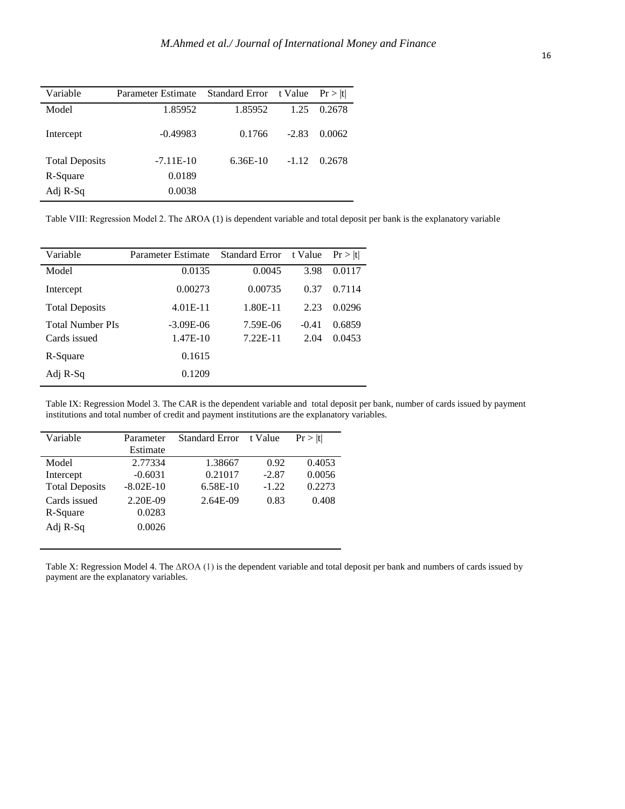| Variable              | Parameter Estimate | Standard Error t Value |         | Pr >  t |
|-----------------------|--------------------|------------------------|---------|---------|
| Model                 | 1.85952            | 1.85952                | 1.25    | 0.2678  |
| Intercept             | $-0.49983$         | 0.1766                 | $-2.83$ | 0.0062  |
| <b>Total Deposits</b> | $-7.11E-10$        | $6.36E-10$             | $-1.12$ | 0.2678  |
| R-Square              | 0.0189             |                        |         |         |
| Adj R-Sq              | 0.0038             |                        |         |         |

Table VIII: Regression Model 2. The ΔROA (1) is dependent variable and total deposit per bank is the explanatory variable

| Variable                | Parameter Estimate | <b>Standard Error</b> | t Value | Pr >  t |
|-------------------------|--------------------|-----------------------|---------|---------|
| Model                   | 0.0135             | 0.0045                | 3.98    | 0.0117  |
| Intercept               | 0.00273            | 0.00735               | 0.37    | 0.7114  |
| <b>Total Deposits</b>   | $4.01E-11$         | 1.80E-11              | 2.23    | 0.0296  |
| <b>Total Number PIs</b> | $-3.09E-06$        | 7.59E-06              | $-0.41$ | 0.6859  |
| Cards issued            | 1.47E-10           | 7.22E-11              | 2.04    | 0.0453  |
| R-Square                | 0.1615             |                       |         |         |
| Adj R-Sq                | 0.1209             |                       |         |         |

j. j.

> Table IX: Regression Model 3. The CAR is the dependent variable and total deposit per bank, number of cards issued by payment institutions and total number of credit and payment institutions are the explanatory variables.

| Variable              | Parameter   | <b>Standard Error</b> | t Value | Pr >  t |
|-----------------------|-------------|-----------------------|---------|---------|
|                       | Estimate    |                       |         |         |
| Model                 | 2.77334     | 1.38667               | 0.92    | 0.4053  |
| Intercept             | $-0.6031$   | 0.21017               | $-2.87$ | 0.0056  |
| <b>Total Deposits</b> | $-8.02E-10$ | 6.58E-10              | $-1.22$ | 0.2273  |
| Cards issued          | 2.20E-09    | 2.64E-09              | 0.83    | 0.408   |
| R-Square              | 0.0283      |                       |         |         |
| Adj R-Sq              | 0.0026      |                       |         |         |

Table X: Regression Model 4. The ΔROA (1) is the dependent variable and total deposit per bank and numbers of cards issued by payment are the explanatory variables.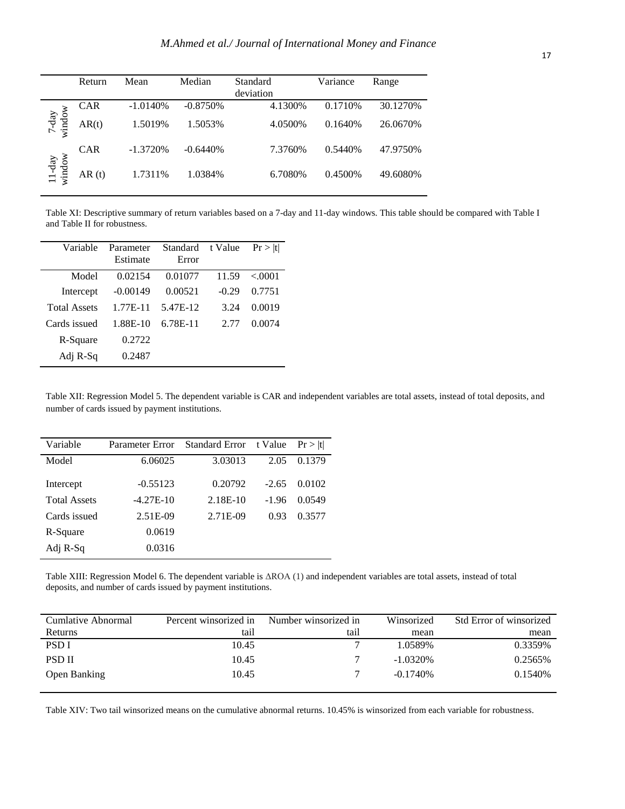|                       | Return     | Mean       | Median      | Standard<br>deviation | Variance | Range    |
|-----------------------|------------|------------|-------------|-----------------------|----------|----------|
|                       | <b>CAR</b> | $-1.0140%$ | $-0.8750\%$ | 4.1300%               | 0.1710\% | 30.1270% |
| $7$ -day<br>$x$ indow | AR(t)      | 1.5019%    | 1.5053%     | 4.0500%               | 0.1640%  | 26.0670% |
|                       | <b>CAR</b> | $-1.3720%$ | $-0.6440%$  | 7.3760%               | 0.5440\% | 47.9750% |
| $11$ -day<br>window   | AR(t)      | 1.7311%    | 1.0384%     | 6.7080%               | 0.4500%  | 49.6080% |

Table XI: Descriptive summary of return variables based on a 7-day and 11-day windows. This table should be compared with Table I and Table II for robustness.

| Parameter  | Standard | t Value | Pr >  t |
|------------|----------|---------|---------|
|            |          |         |         |
|            |          |         |         |
| 0.02154    | 0.01077  | 11.59   | < 0001  |
| $-0.00149$ | 0.00521  | $-0.29$ | 0.7751  |
| $1.77E-11$ | 5.47E-12 | 3.24    | 0.0019  |
| 1.88E-10   | 6.78E-11 | 2.77    | 0.0074  |
| 0.2722     |          |         |         |
| 0.2487     |          |         |         |
|            | Estimate | Error   |         |

Table XII: Regression Model 5. The dependent variable is CAR and independent variables are total assets, instead of total deposits, and number of cards issued by payment institutions.

| Variable            | Parameter Error | <b>Standard Error</b> | t Value | Pr >  t |
|---------------------|-----------------|-----------------------|---------|---------|
| Model               | 6.06025         | 3.03013               | 2.05    | 0.1379  |
| Intercept           | $-0.55123$      | 0.20792               | $-2.65$ | 0.0102  |
| <b>Total Assets</b> | $-4.27E-10$     | 2.18E-10              | $-1.96$ | 0.0549  |
| Cards issued        | $2.51E-09$      | 2.71E-09              | 0.93    | 0.3577  |
| R-Square            | 0.0619          |                       |         |         |
| Adj R-Sq            | 0.0316          |                       |         |         |

Table XIII: Regression Model 6. The dependent variable is ΔROA (1) and independent variables are total assets, instead of total deposits, and number of cards issued by payment institutions.

| Cumlative Abnormal  | Percent winsorized in | Number winsorized in | Winsorized  | Std Error of winsorized |
|---------------------|-----------------------|----------------------|-------------|-------------------------|
| Returns             | tail                  | tail                 | mean        | mean                    |
| <b>PSDI</b>         | 10.45                 |                      | 1.0589%     | 0.3359%                 |
| <b>PSD</b> II       | 10.45                 |                      | $-1.0320\%$ | 0.2565%                 |
| <b>Open Banking</b> | 10.45                 |                      | $-0.1740\%$ | 0.1540\%                |
|                     |                       |                      |             |                         |

Table XIV: Two tail winsorized means on the cumulative abnormal returns. 10.45% is winsorized from each variable for robustness.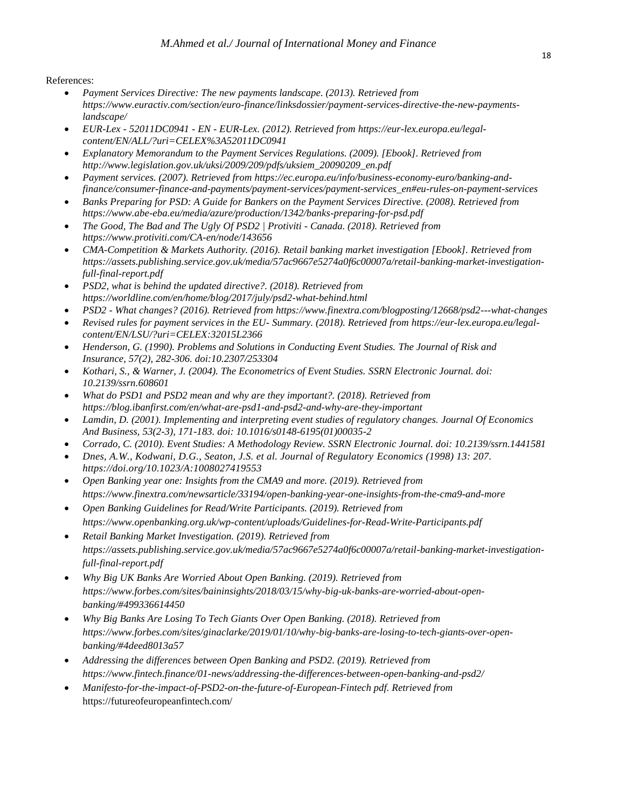## References:

- *Payment Services Directive: The new payments landscape. (2013). Retrieved from [https://www.euractiv.com/section/euro-finance/linksdossier/payment-services-directive-the-new-payments](https://www.euractiv.com/section/euro-finance/linksdossier/payment-services-directive-the-new-payments-landscape/)[landscape/](https://www.euractiv.com/section/euro-finance/linksdossier/payment-services-directive-the-new-payments-landscape/)*
- *EUR-Lex - 52011DC0941 - EN - EUR-Lex. (2012). Retrieved from [https://eur-lex.europa.eu/legal](https://eur-lex.europa.eu/legal-content/EN/ALL/?uri=CELEX%3A52011DC0941)[content/EN/ALL/?uri=CELEX%3A52011DC0941](https://eur-lex.europa.eu/legal-content/EN/ALL/?uri=CELEX%3A52011DC0941)*
- *Explanatory Memorandum to the Payment Services Regulations. (2009). [Ebook]. Retrieved from [http://www.legislation.gov.uk/uksi/2009/209/pdfs/uksiem\\_20090209\\_en.pdf](http://www.legislation.gov.uk/uksi/2009/209/pdfs/uksiem_20090209_en.pdf)*
- *Payment services. (2007). Retrieved from [https://ec.europa.eu/info/business-economy-euro/banking-and](https://ec.europa.eu/info/business-economy-euro/banking-and-finance/consumer-finance-and-payments/payment-services/payment-services_en#eu-rules-on-payment-services)[finance/consumer-finance-and-payments/payment-services/payment-services\\_en#eu-rules-on-payment-services](https://ec.europa.eu/info/business-economy-euro/banking-and-finance/consumer-finance-and-payments/payment-services/payment-services_en#eu-rules-on-payment-services)*
- *Banks Preparing for PSD: A Guide for Bankers on the Payment Services Directive. (2008). Retrieved from <https://www.abe-eba.eu/media/azure/production/1342/banks-preparing-for-psd.pdf>*
- *The Good, The Bad and The Ugly Of PSD2 | Protiviti - Canada. (2018). Retrieved from <https://www.protiviti.com/CA-en/node/143656>*
- *CMA-Competition & Markets Authority. (2016). Retail banking market investigation [Ebook]. Retrieved from [https://assets.publishing.service.gov.uk/media/57ac9667e5274a0f6c00007a/retail-banking-market-investigation](https://assets.publishing.service.gov.uk/media/57ac9667e5274a0f6c00007a/retail-banking-market-investigation-full-final-report.pdf)[full-final-report.pdf](https://assets.publishing.service.gov.uk/media/57ac9667e5274a0f6c00007a/retail-banking-market-investigation-full-final-report.pdf)*
- *PSD2, what is behind the updated directive?. (2018). Retrieved from <https://worldline.com/en/home/blog/2017/july/psd2-what-behind.html>*
- *PSD2 - What changes? (2016). Retrieved from<https://www.finextra.com/blogposting/12668/psd2---what-changes>*
- *Revised rules for payment services in the EU- Summary. (2018). Retrieved from [https://eur-lex.europa.eu/legal](https://eur-lex.europa.eu/legal-content/EN/LSU/?uri=CELEX:32015L2366)[content/EN/LSU/?uri=CELEX:32015L2366](https://eur-lex.europa.eu/legal-content/EN/LSU/?uri=CELEX:32015L2366)*
- *Henderson, G. (1990). Problems and Solutions in Conducting Event Studies. The Journal of Risk and Insurance, 57(2), 282-306. doi:10.2307/253304*
- *Kothari, S., & Warner, J. (2004). The Econometrics of Event Studies. SSRN Electronic Journal. doi: 10.2139/ssrn.608601*
- *What do PSD1 and PSD2 mean and why are they important?. (2018). Retrieved from <https://blog.ibanfirst.com/en/what-are-psd1-and-psd2-and-why-are-they-important>*
- *Lamdin, D. (2001). Implementing and interpreting event studies of regulatory changes. Journal Of Economics And Business, 53(2-3), 171-183. doi: 10.1016/s0148-6195(01)00035-2*
- *Corrado, C. (2010). Event Studies: A Methodology Review. SSRN Electronic Journal. doi: 10.2139/ssrn.1441581*
- *Dnes, A.W., Kodwani, D.G., Seaton, J.S. et al. Journal of Regulatory Economics (1998) 13: 207. <https://doi.org/10.1023/A:1008027419553>*
- *Open Banking year one: Insights from the CMA9 and more. (2019). Retrieved from <https://www.finextra.com/newsarticle/33194/open-banking-year-one-insights-from-the-cma9-and-more>*
- *Open Banking Guidelines for Read/Write Participants. (2019). Retrieved from <https://www.openbanking.org.uk/wp-content/uploads/Guidelines-for-Read-Write-Participants.pdf>*
- *Retail Banking Market Investigation. (2019). Retrieved from [https://assets.publishing.service.gov.uk/media/57ac9667e5274a0f6c00007a/retail-banking-market-investigation](https://assets.publishing.service.gov.uk/media/57ac9667e5274a0f6c00007a/retail-banking-market-investigation-full-final-report.pdf)[full-final-report.pdf](https://assets.publishing.service.gov.uk/media/57ac9667e5274a0f6c00007a/retail-banking-market-investigation-full-final-report.pdf)*
- *Why Big UK Banks Are Worried About Open Banking. (2019). Retrieved from [https://www.forbes.com/sites/baininsights/2018/03/15/why-big-uk-banks-are-worried-about-open](https://www.forbes.com/sites/baininsights/2018/03/15/why-big-uk-banks-are-worried-about-open-banking/#499336614450)[banking/#499336614450](https://www.forbes.com/sites/baininsights/2018/03/15/why-big-uk-banks-are-worried-about-open-banking/#499336614450)*
- *Why Big Banks Are Losing To Tech Giants Over Open Banking. (2018). Retrieved from [https://www.forbes.com/sites/ginaclarke/2019/01/10/why-big-banks-are-losing-to-tech-giants-over-open](https://www.forbes.com/sites/ginaclarke/2019/01/10/why-big-banks-are-losing-to-tech-giants-over-open-banking/#4deed8013a57)[banking/#4deed8013a57](https://www.forbes.com/sites/ginaclarke/2019/01/10/why-big-banks-are-losing-to-tech-giants-over-open-banking/#4deed8013a57)*
- *Addressing the differences between Open Banking and PSD2. (2019). Retrieved from <https://www.fintech.finance/01-news/addressing-the-differences-between-open-banking-and-psd2/>*
- *Manifesto-for-the-impact-of-PSD2-on-the-future-of-European-Fintech pdf. Retrieved from*  <https://futureofeuropeanfintech.com/>